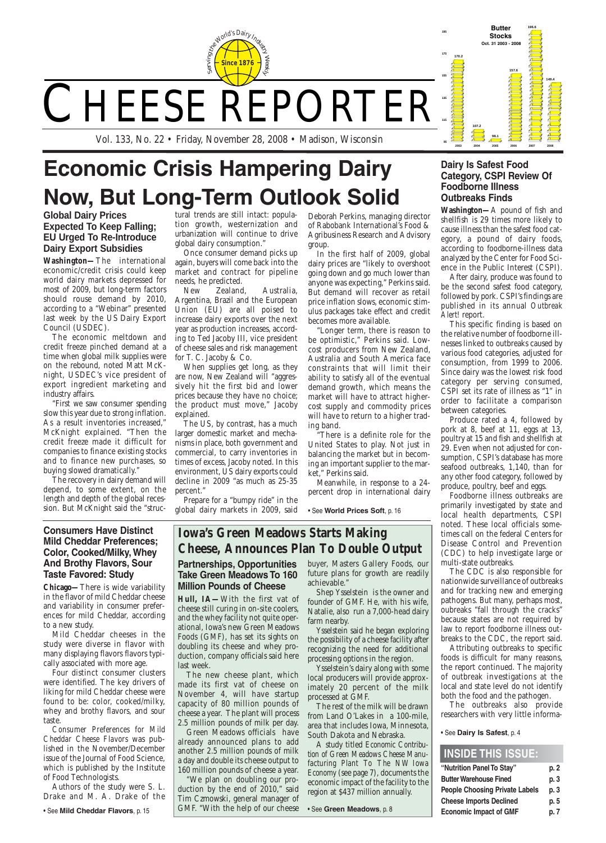

# CHEESE REPORTER

| "Nutrition Panel To Stay"             | p. 2 |
|---------------------------------------|------|
| <b>Butter Warehouse Fined</b>         | p.3  |
| <b>People Choosing Private Labels</b> | p.3  |
| <b>Cheese Imports Declined</b>        | p. 5 |
| <b>Economic Impact of GMF</b>         | p. 7 |

#### **INSIDE THIS ISSUE:**

**170.2**

**107.2**

**98.1**

**157.6**

**196.6**

**149.4**

**2003 2004 2005 2006 2007 2008**

**95**

**115**

**135**

**155**

**175**

**<sup>195</sup> Butter Stocks Oct. 31 2003 - 2008**

Vol. 133, No. 22 • Friday, November 28, 2008 • Madison, Wisconsin

### **Iowa's Green Meadows Starts Making Cheese, Announces Plan To Double Output**

# **Economic Crisis Hampering Dairy Now, But Long-Term Outlook Solid**

Deborah Perkins, managing director of Rabobank International's Food & Agribusiness Research and Advisory group.

There is a definite role for the United States to play. Not just in balancing the market but in becoming an important supplier to the market," Perkins said.

In the first half of 2009, global dairy prices are "likely to overshoot going down and go much lower than anyone was expecting," Perkins said. But demand will recover as retail price inflation slows, economic stimulus packages take effect and credit becomes more available.

"Longer term, there is reason to be optimistic," Perkins said. Lowcost producers from New Zealand, Australia and South America face constraints that will limit their ability to satisfy all of the eventual demand growth, which means the market will have to attract highercost supply and commodity prices will have to return to a higher trading band.

Meanwhile, in response to a 24 percent drop in international dairy

• See **World Prices Soft**, p. 16

#### **Partnerships, Opportunities Take Green Meadows To 160 Million Pounds of Cheese**

**Hull, IA—** With the first vat of cheese still curing in on-site coolers, and the whey facility not quite operational, Iowa's new Green Meadows Foods (GMF), has set its sights on doubling its cheese and whey production, company officials said here last week. The new cheese plant, which made its first vat of cheese on November 4, will have startup capacity of 80 million pounds of cheese a year. The plant will process 2.5 million pounds of milk per day. Green Meadows officials have already announced plans to add another 2.5 million pounds of milk a day and double its cheese output to 160 million pounds of cheese a year. "We plan on doubling our production by the end of 2010," said Tim Czmowski, general manager of GMF. "With the help of our cheese

buyer, Masters Gallery Foods, our future plans for growth are readily achievable."

Shep Ysselstein is the owner and founder of GMF. He, with his wife, Natalie, also run a 7,000-head dairy farm nearby.

Ysselstein said he began exploring the possibility of a cheese facility after recognizing the need for additional processing options in the region. Ysselstein's dairy along with some local producers will provide approximately 20 percent of the milk processed at GMF. The rest of the milk will be drawn from Land O'Lakes in a 100-mile, area that includes Iowa, Minnesota, South Dakota and Nebraska. A study titled *Economic Contribution of Green Meadows Cheese Manufacturing Plant To The NW Iowa Economy* (see page 7), documents the economic impact of the facility to the region at \$437 million annually.

• See **Green Meadows**, p. 8

#### **Consumers Have Distinct Mild Cheddar Preferences; Color, Cooked/Milky, Whey And Brothy Flavors, Sour Taste Favored: Study**

**Chicago—** There is wide variability in the flavor of mild Cheddar cheese and variability in consumer preferences for mild Cheddar, according to a new study.

Mild Cheddar cheeses in the study were diverse in flavor with many displaying flavors flavors typically associated with more age. Four distinct consumer clusters were identified. The key drivers of liking for mild Cheddar cheese were found to be: color, cooked/milky, whey and brothy flavors, and sour taste. *Consumer Preferences for Mild Cheddar Cheese Flavors* was published in the November/December issue of the Journal of Food Science, which is published by the Institute of Food Technologists. Authors of the study were S. L. Drake and M. A. Drake of the

• See **Mild Cheddar Flavors**, p. 15

#### **Dairy Is Safest Food Category, CSPI Review Of Foodborne Illness Outbreaks Finds**

**Washington—** A pound of fish and shellfish is 29 times more likely to cause illness than the safest food category, a pound of dairy foods, according to foodborne-illness data analyzed by the Center for Food Science in the Public Interest (CSPI).

After dairy, produce was found to be the second safest food category, followed by pork. CSPI's findings are published in its annual *Outbreak Alert!* report.

This specific finding is based on the relative number of foodborne illnesses linked to outbreaks caused by various food categories, adjusted for consumption, from 1999 to 2006. Since dairy was the lowest risk food category per serving consumed, CSPI set its rate of illness as "1" in order to facilitate a comparison between categories.

Produce rated a 4, followed by pork at 8, beef at 11, eggs at 13, poultry at 15 and fish and shellfish at 29. Even when not adjusted for consumption, CSPI's database has more seafood outbreaks, 1,140, than for any other food category, followed by produce, poultry, beef and eggs.

Foodborne illness outbreaks are primarily investigated by state and local health departments, CSPI noted. These local officials sometimes call on the federal Centers for Disease Control and Prevention (CDC) to help investigate large or multi-state outbreaks.

The CDC is also responsible for nationwide surveillance of outbreaks and for tracking new and emerging pathogens. But many, perhaps most, oubreaks "fall through the cracks" because states are not required by law to report foodborne illness outbreaks to the CDC, the report said.

Attributing outbreaks to specific foods is difficult for many reasons, the report continued. The majority of outbreak investigations at the local and state level do not identify both the food and the pathogen. The outbreaks also provide researchers with very little informa-

• See **Dairy Is Safest**, p. 4

#### **Global Dairy Prices Expected To Keep Falling; EU Urged To Re-Introduce Dairy Export Subsidies**

**Washington—** The international economic/credit crisis could keep world dairy markets depressed for most of 2009, but long-term factors should rouse demand by 2010, according to a "Webinar" presented last week by the US Dairy Export Council (USDEC).

The economic meltdown and credit freeze pinched demand at a time when global milk supplies were on the rebound, noted Matt McKnight, USDEC's vice president of export ingredient marketing and industry affairs.

"First we saw consumer spending slow this year due to strong inflation. As a result inventories increased," McKnight explained. "Then the credit freeze made it difficult for companies to finance existing stocks and to finance new purchases, so buying slowed dramatically."

The recovery in dairy demand will depend, to some extent, on the length and depth of the global recession. But McKnight said the "structural trends are still intact: population growth, westernization and urbanization will continue to drive global dairy consumption."

Once consumer demand picks up again, buyers will come back into the market and contract for pipeline needs, he predicted.

New Zealand, Australia, Argentina, Brazil and the European Union (EU) are all poised to increase dairy exports over the next year as production increases, according to Ted Jacoby III, vice president of cheese sales and risk management for T. C. Jacoby & Co.

When supplies get long, as they are now, New Zealand will "aggressively hit the first bid and lower prices because they have no choice; the product must move," Jacoby explained.

The US, by contrast, has a much larger domestic market and mechanisms in place, both government and commercial, to carry inventories in times of excess, Jacoby noted. In this environment, US dairy exports could decline in 2009 "as much as 25-35 percent."

Prepare for a "bumpy ride" in the global dairy markets in 2009, said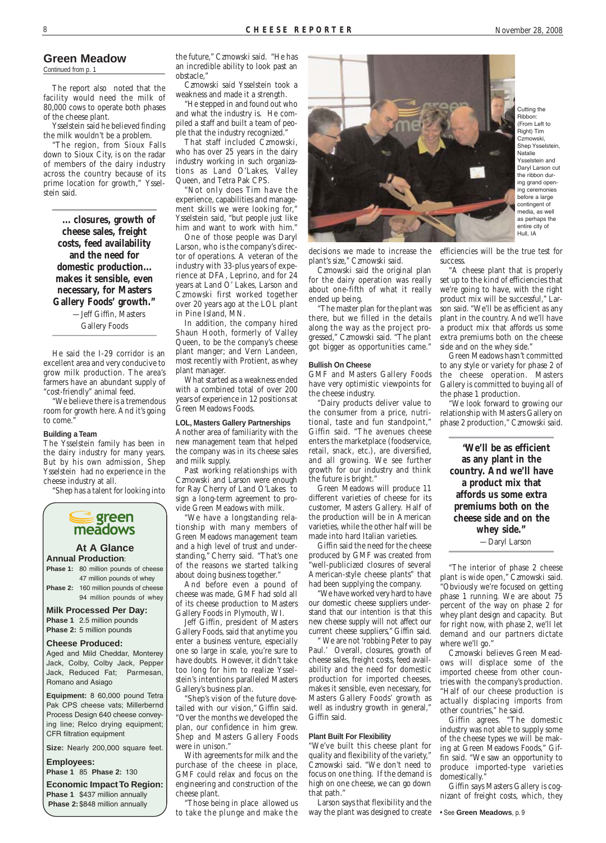#### **Green Meadow**

Continued from p. 1

The report also noted that the facility would need the milk of 80,000 cows to operate both phases of the cheese plant.

Ysselstein said he believed finding the milk wouldn't be a problem.

"The region, from Sioux Falls down to Sioux City, is on the radar of members of the dairy industry across the country because of its prime location for growth," Ysselstein said.

"We believe there is a tremendous room for growth here. And it's going to come.'

**... closures, growth of cheese sales, freight costs, feed availability and the need for domestic production... makes it sensible, even necessary, for Masters Gallery Foods' growth."** —Jeff Giffin, Masters Gallery Foods

He said the I-29 corridor is an excellent area and very conducive to grow milk production. The area's farmers have an abundant supply of "cost-friendly" animal feed.

#### **Building a Team**

The Ysselstein family has been in the dairy industry for many years. But by his own admission, Shep Ysselstein had no experience in the cheese industry at all.

"Shep has a talent for looking into

decisions we made to increase the plant's size," Czmowski said.

Czmowski said the original plan for the dairy operation was really about one-fifth of what it really ended up being.

"The master plan for the plant was there, but we filled in the details along the way as the project progressed," Czmowski said. "The plant got bigger as opportunities came."

#### **Bullish On Cheese**

GMF and Masters Gallery Foods have very optimistic viewpoints for the cheese industry.

"Dairy products deliver value to the consumer from a price, nutritional, taste and fun standpoint," Giffin said. "The avenues cheese enters the marketplace (foodservice, retail, snack, etc.), are diversified, and all growing. We see further growth for our industry and think the future is bright."

Green Meadows will produce 11 different varieties of cheese for its customer, Masters Gallery. Half of the production will be in American varieties, while the other half will be made into hard Italian varieties.

Giffin said the need for the cheese produced by GMF was created from "well-publicized closures of several American-style cheese plants" that had been supplying the company.

"We have worked very hard to have our domestic cheese suppliers understand that our intention is that this new cheese supply will not affect our current cheese suppliers," Giffin said.

" We are not 'robbing Peter to pay Paul.' Overall, closures, growth of

cheese sales, freight costs, feed availability and the need for domestic production for imported cheeses, makes it sensible, even necessary, for Masters Gallery Foods' growth as well as industry growth in general," Giffin said.

#### **Plant Built For Flexibility**

"We've built this cheese plant for quality and flexibility of the variety," Czmowski said. "We don't need to focus on one thing. If the demand is high on one cheese, we can go down that path."

Larson says that flexibility and the way the plant was designed to create efficiencies will be the true test for success.

"A cheese plant that is properly set up to the kind of efficiencies that we're going to have, with the right product mix will be successful," Larson said. "We'll be as efficient as any plant in the country. And we'll have a product mix that affords us some extra premiums both on the cheese side and on the whey side."

Green Meadows hasn't committed to any style or variety for phase 2 of the cheese operation. Masters Gallery is committed to buying all of the phase 1 production.

"We look forward to growing our relationship with Masters Gallery on phase 2 production," Czmowski said.

**"We'll be as efficient as any plant in the country. And we'll have a product mix that affords us some extra premiums both on the cheese side and on the whey side."** —Daryl Larson

"The interior of phase 2 cheese plant is wide open," Czmowski said. "Obviously we're focused on getting phase 1 running. We are about 75 percent of the way on phase 2 for whey plant design and capacity. But for right now, with phase 2, we'll let demand and our partners dictate where we'll go."

Czmowski believes Green Meadows will displace some of the imported cheese from other countries with the company's production. "Half of our cheese production is actually displacing imports from other countries," he said. Giffin agrees. "The domestic industry was not able to supply some of the cheese types we will be making at Green Meadows Foods," Giffin said. "We saw an opportunity to produce imported-type varieties domestically." Giffin says Masters Gallery is cognizant of freight costs, which, they

• See **Green Meadows**, p. 9



**Phase 2:** 160 million pounds of cheese 94 million pounds of whey

#### **Milk Processed Per Day: Phase 1** 2.5 million pounds

**Phase 2:** 5 million pounds

**Cheese Produced:**

Aged and Mild Cheddar, Monterey

Jack, Colby, Colby Jack, Pepper Jack, Reduced Fat; Parmesan, Romano and Asiago

**Equipment:** 8 60,000 pound Tetra Pak CPS cheese vats; Millerbernd Process Design 640 cheese conveying line; Relco drying equipment; CFR filtration equipment

**Size:** Nearly 200,000 square feet.

#### **Employees:**

**Phase 1** 85 **Phase 2:** 130

**Economic Impact To Region: Phase 1** \$437 million annually **Phase 2:** \$848 million annually

the future," Czmowski said. "He has an incredible ability to look past an obstacle,"

Czmowski said Ysselstein took a weakness and made it a strength.

"He stepped in and found out who and what the industry is. He compiled a staff and built a team of people that the industry recognized."

That staff included Czmowski, who has over 25 years in the dairy industry working in such organizations as Land O'Lakes, Valley Queen, and Tetra Pak CPS.

"Not only does Tim have the experience, capabilities and management skills we were looking for," Ysselstein said, "but people just like him and want to work with him."

One of those people was Daryl Larson, who is the company's director of operations. A veteran of the industry with 33-plus years of experience at DFA, Leprino, and for 24 years at Land O' Lakes, Larson and Czmowski first worked together over 20 years ago at the LOL plant in Pine Island, MN.

In addition, the company hired Shaun Hooth, formerly of Valley Queen, to be the company's cheese plant manger; and Vern Landeen, most recently with Protient, as whey plant manager.

What started as a weakness ended with a combined total of over 200 years of experience in 12 positions at Green Meadows Foods.

#### **LOL, Masters Gallery Partnerships**

Another area of familiarity with the new management team that helped the company was in its cheese sales and milk supply.

Past working relationships with Czmowski and Larson were enough for Ray Cherry of Land O'Lakes to sign a long-term agreement to provide Green Meadows with milk.

"We have a longstanding relationship with many members of Green Meadows management team and a high level of trust and understanding," Cherry said. "That's one of the reasons we started talking about doing business together."

And before even a pound of cheese was made, GMF had sold all of its cheese production to Masters Gallery Foods in Plymouth, WI.

Jeff Giffin, president of Masters Gallery Foods, said that anytime you enter a business venture, especially one so large in scale, you're sure to have doubts. However, it didn't take too long for him to realize Ysselstein's intentions paralleled Masters Gallery's business plan. "Shep's vision of the future dovetailed with our vision," Giffin said. "Over the months we developed the plan, our confidence in him grew. Shep and Masters Gallery Foods were in unison." With agreements for milk and the purchase of the cheese in place, GMF could relax and focus on the engineering and construction of the cheese plant. "Those being in place allowed us to take the plunge and make the



Cutting the Ribbon: (From Left to Right) Tim Czmowski, Shep Ysselstein, Natalie Ysselstein and Daryl Larson cut the ribbon during grand opening ceremonies before a large contingent of media, as well as perhaps the entire city of Hull, IA